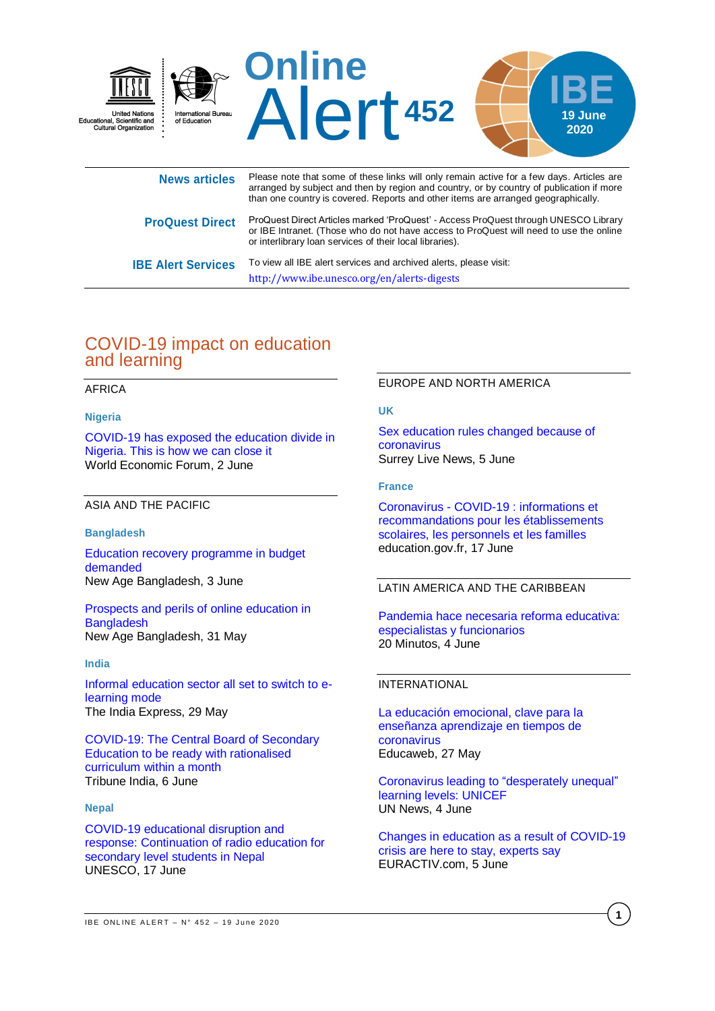

|                           | arranged by subject and then by region and country, or by country of publication if more<br>than one country is covered. Reports and other items are arranged geographically.                                                             |
|---------------------------|-------------------------------------------------------------------------------------------------------------------------------------------------------------------------------------------------------------------------------------------|
| <b>ProQuest Direct</b>    | ProQuest Direct Articles marked 'ProQuest' - Access ProQuest through UNESCO Library<br>or IBE Intranet. (Those who do not have access to ProQuest will need to use the online<br>or interlibrary loan services of their local libraries). |
| <b>IBE Alert Services</b> | To view all IBE alert services and archived alerts, please visit:                                                                                                                                                                         |

<http://www.ibe.unesco.org/en/alerts-digests>

# COVID-19 impact on education and learning

## AFRICA

## **Nigeria**

[COVID-19 has exposed the education divide in](https://www.weforum.org/agenda/2020/06/education-nigeria-covid19-digital-divide/)  [Nigeria. This is how we can close it](https://www.weforum.org/agenda/2020/06/education-nigeria-covid19-digital-divide/) World Economic Forum, 2 June

## ASIA AND THE PACIFIC

#### **Bangladesh**

[Education recovery programme in budget](https://www.newagebd.net/article/107601/education-recovery-programme-in-budget-demanded)  [demanded](https://www.newagebd.net/article/107601/education-recovery-programme-in-budget-demanded) New Age Bangladesh, 3 June

[Prospects and perils of online education in](https://www.newagebd.net/article/107290/prospects-and-perils-of-online-education-in-bangladesh)  **[Bangladesh](https://www.newagebd.net/article/107290/prospects-and-perils-of-online-education-in-bangladesh)** New Age Bangladesh, 31 May

#### **India**

[Informal education sector all set to switch to e](https://www.newindianexpress.com/states/kerala/2020/may/29/informal-education-sector-all-set-to-switch-to-e-learning-mode-2149344.html)[learning mode](https://www.newindianexpress.com/states/kerala/2020/may/29/informal-education-sector-all-set-to-switch-to-e-learning-mode-2149344.html) The India Express, 29 May

[COVID-19: The Central Board of Secondary](https://www.tribuneindia.com/news/nation/covid-19-cbse-to-be-ready-with-rationalised-curriculum-within-a-month-95466)  [Education to be ready with rationalised](https://www.tribuneindia.com/news/nation/covid-19-cbse-to-be-ready-with-rationalised-curriculum-within-a-month-95466)  [curriculum within a month](https://www.tribuneindia.com/news/nation/covid-19-cbse-to-be-ready-with-rationalised-curriculum-within-a-month-95466) Tribune India, 6 June

#### **Nepal**

[COVID-19 educational disruption and](https://en.unesco.org/news/covid-19-educational-disruption-and-response-continuation-radio-education-secondary-level)  [response: Continuation of radio education for](https://en.unesco.org/news/covid-19-educational-disruption-and-response-continuation-radio-education-secondary-level)  [secondary level students in Nepal](https://en.unesco.org/news/covid-19-educational-disruption-and-response-continuation-radio-education-secondary-level) UNESCO, 17 June

#### EUROPE AND NORTH AMERICA

#### **UK**

[Sex education rules changed because of](https://www.getsurrey.co.uk/news/uk-world-news/sex-education-rules-changed-because-18367262)  [coronavirus](https://www.getsurrey.co.uk/news/uk-world-news/sex-education-rules-changed-because-18367262) Surrey Live News, 5 June

#### **France**

Coronavirus - [COVID-19 : informations et](https://www.education.gouv.fr/coronavirus-covid-19-informations-et-recommandations-pour-les-etablissements-scolaires-les-274253)  [recommandations pour les établissements](https://www.education.gouv.fr/coronavirus-covid-19-informations-et-recommandations-pour-les-etablissements-scolaires-les-274253)  [scolaires, les personnels et les familles](https://www.education.gouv.fr/coronavirus-covid-19-informations-et-recommandations-pour-les-etablissements-scolaires-les-274253) education.gov.fr, 17 June

## LATIN AMERICA AND THE CARIBBEAN

[Pandemia hace necesaria reforma educativa:](https://www.20minutos.com.mx/noticia/857981/0/pandemia-hace-necesaria-reforma-educativa-especialistas-y-funcionarios/)  [especialistas y funcionarios](https://www.20minutos.com.mx/noticia/857981/0/pandemia-hace-necesaria-reforma-educativa-especialistas-y-funcionarios/) 20 Minutos, 4 June

#### INTERNATIONAL

[La educación emocional, clave para la](https://www.educaweb.com/noticia/2020/05/27/educacion-emocional-clave-ensenanza-aprendizaje-tiempos-coronavirus-19205/)  [enseñanza aprendizaje en tiempos de](https://www.educaweb.com/noticia/2020/05/27/educacion-emocional-clave-ensenanza-aprendizaje-tiempos-coronavirus-19205/)  [coronavirus](https://www.educaweb.com/noticia/2020/05/27/educacion-emocional-clave-ensenanza-aprendizaje-tiempos-coronavirus-19205/) Educaweb, 27 May

[Coronavirus leading to "desperately unequal"](https://news.un.org/en/story/2020/06/1065672) [learning levels: UNICEF](https://news.un.org/en/story/2020/06/1065672) UN News, 4 June

[Changes in education as a result of COVID-19](https://www.euractiv.com/section/economy-jobs/news/changes-in-education-as-a-result-of-covid-19-crisis-are-here-to-stay-experts-say/)  [crisis are here to stay, experts say](https://www.euractiv.com/section/economy-jobs/news/changes-in-education-as-a-result-of-covid-19-crisis-are-here-to-stay-experts-say/) EURACTIV.com, 5 June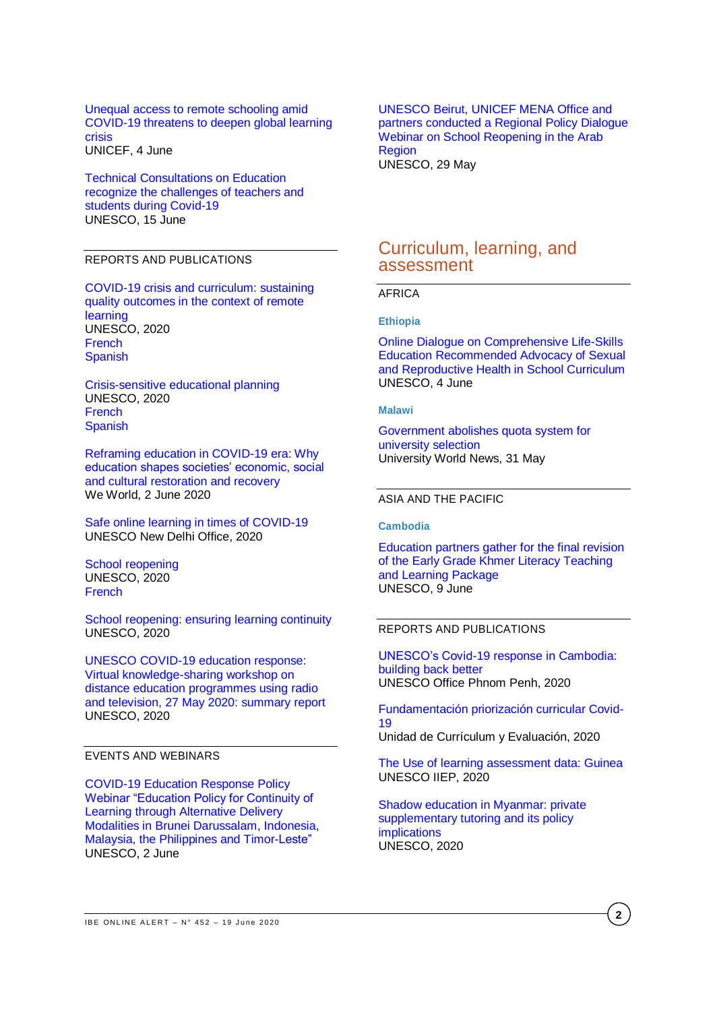[Unequal access to remote schooling amid](https://www.unicef.org/press-releases/unequal-access-remote-schooling-amid-covid-19-threatens-deepen-global-learning)  [COVID-19 threatens to deepen global learning](https://www.unicef.org/press-releases/unequal-access-remote-schooling-amid-covid-19-threatens-deepen-global-learning)  [crisis](https://www.unicef.org/press-releases/unequal-access-remote-schooling-amid-covid-19-threatens-deepen-global-learning) UNICEF, 4 June

[Technical Consultations on Education](https://en.unesco.org/news/technical-consultations-education-recognize-challenges-teachers-and-students-during-covid-19)  [recognize the challenges of teachers and](https://en.unesco.org/news/technical-consultations-education-recognize-challenges-teachers-and-students-during-covid-19)  [students during Covid-19](https://en.unesco.org/news/technical-consultations-education-recognize-challenges-teachers-and-students-during-covid-19) UNESCO, 15 June

## REPORTS AND PUBLICATIONS

[COVID-19 crisis and curriculum: sustaining](https://unesdoc.unesco.org/ark:/48223/pf0000373273)  [quality outcomes in the context of remote](https://unesdoc.unesco.org/ark:/48223/pf0000373273)  [learning](https://unesdoc.unesco.org/ark:/48223/pf0000373273) UNESCO, 2020 **[French](https://unesdoc.unesco.org/ark:/48223/pf0000373273_fre?posInSet=49&queryId=N-70c7c699-6447-4761-b7af-eab35b05e25f) [Spanish](https://unesdoc.unesco.org/ark:/48223/pf0000373273_spa)** 

[Crisis-sensitive educational planning](https://unesdoc.unesco.org/ark:/48223/pf0000373272) UNESCO, 2020 **[French](https://unesdoc.unesco.org/ark:/48223/pf0000373272_fre?posInSet=50&queryId=N-70c7c699-6447-4761-b7af-eab35b05e25f) [Spanish](https://unesdoc.unesco.org/ark:/48223/pf0000373272_spa)** 

[Reframing education in COVID-19 era: Why](https://reliefweb.int/report/world/reframing-education-covid-19-era-why-education-shapes-societies-economic-social-and)  [education shapes societies' economic, social](https://reliefweb.int/report/world/reframing-education-covid-19-era-why-education-shapes-societies-economic-social-and)  [and cultural restoration and recovery](https://reliefweb.int/report/world/reframing-education-covid-19-era-why-education-shapes-societies-economic-social-and) We World, 2 June 2020

[Safe online learning in times of COVID-19](https://unesdoc.unesco.org/ark:/48223/pf0000373605) UNESCO New Delhi Office, 2020

[School reopening](https://unesdoc.unesco.org/ark:/48223/pf0000373275) UNESCO, 2020 [French](https://unesdoc.unesco.org/ark:/48223/pf0000373273_fre?posInSet=49&queryId=N-70c7c699-6447-4761-b7af-eab35b05e25f)

[School reopening: ensuring learning continuity](https://unesdoc.unesco.org/ark:/48223/pf0000373610?posInSet=10&queryId=N-c04204de-f899-4c0c-9eb7-4ee2c0645e42) UNESCO, 2020

[UNESCO COVID-19 education response:](https://unesdoc.unesco.org/ark:/48223/pf0000373576?posInSet=48&queryId=N-c04204de-f899-4c0c-9eb7-4ee2c0645e42)  [Virtual knowledge-sharing workshop on](https://unesdoc.unesco.org/ark:/48223/pf0000373576?posInSet=48&queryId=N-c04204de-f899-4c0c-9eb7-4ee2c0645e42)  [distance education programmes using radio](https://unesdoc.unesco.org/ark:/48223/pf0000373576?posInSet=48&queryId=N-c04204de-f899-4c0c-9eb7-4ee2c0645e42)  [and television, 27 May 2020: summary report](https://unesdoc.unesco.org/ark:/48223/pf0000373576?posInSet=48&queryId=N-c04204de-f899-4c0c-9eb7-4ee2c0645e42) UNESCO, 2020

## EVENTS AND WEBINARS

[COVID-19 Education Response Policy](https://en.unesco.org/news/covid-19-education-response-policy-webinar-education-policy-continuity-learning-through)  [Webinar "Education Policy for Continuity of](https://en.unesco.org/news/covid-19-education-response-policy-webinar-education-policy-continuity-learning-through)  [Learning through Alternative Delivery](https://en.unesco.org/news/covid-19-education-response-policy-webinar-education-policy-continuity-learning-through)  [Modalities in Brunei Darussalam, Indonesia,](https://en.unesco.org/news/covid-19-education-response-policy-webinar-education-policy-continuity-learning-through)  [Malaysia, the Philippines and Timor-Leste"](https://en.unesco.org/news/covid-19-education-response-policy-webinar-education-policy-continuity-learning-through) UNESCO, 2 June

[UNESCO Beirut, UNICEF MENA Office and](https://en.unesco.org/news/unesco-beirut-unicef-mena-office-and-partners-conducted-regional-policy-dialogue-webinar-school)  [partners conducted a Regional Policy Dialogue](https://en.unesco.org/news/unesco-beirut-unicef-mena-office-and-partners-conducted-regional-policy-dialogue-webinar-school)  [Webinar on School Reopening in the Arab](https://en.unesco.org/news/unesco-beirut-unicef-mena-office-and-partners-conducted-regional-policy-dialogue-webinar-school)  [Region](https://en.unesco.org/news/unesco-beirut-unicef-mena-office-and-partners-conducted-regional-policy-dialogue-webinar-school) UNESCO, 29 May

## Curriculum, learning, and assessment

## AFRICA

**Ethiopia**

# [Online Dialogue on Comprehensive Life-Skills](https://en.unesco.org/news/online-dialogue-comprehensive-life-skills-education-recommended-advocacy-sexual-and)

[Education Recommended Advocacy of Sexual](https://en.unesco.org/news/online-dialogue-comprehensive-life-skills-education-recommended-advocacy-sexual-and)  [and Reproductive Health in School Curriculum](https://en.unesco.org/news/online-dialogue-comprehensive-life-skills-education-recommended-advocacy-sexual-and) UNESCO, 4 June

#### **Malawi**

[Government abolishes quota system for](https://www.universityworldnews.com/post.php?story=20200531153434780)  [university selection](https://www.universityworldnews.com/post.php?story=20200531153434780) University World News, 31 May

#### ASIA AND THE PACIFIC

**Cambodia**

[Education partners gather for the final revision](https://en.unesco.org/news/education-partners-gather-final-revision-early-grade-khmer-literacy-teaching-and-learning)  [of the Early Grade Khmer Literacy Teaching](https://en.unesco.org/news/education-partners-gather-final-revision-early-grade-khmer-literacy-teaching-and-learning)  [and Learning Package](https://en.unesco.org/news/education-partners-gather-final-revision-early-grade-khmer-literacy-teaching-and-learning) UNESCO, 9 June

## REPORTS AND PUBLICATIONS

[UNESCO's Covid-19 response in Cambodia:](https://unesdoc.unesco.org/ark:/48223/pf0000373583?posInSet=39&queryId=N-c04204de-f899-4c0c-9eb7-4ee2c0645e42)  [building back better](https://unesdoc.unesco.org/ark:/48223/pf0000373583?posInSet=39&queryId=N-c04204de-f899-4c0c-9eb7-4ee2c0645e42) UNESCO Office Phnom Penh, 2020

[Fundamentación priorización curricular Covid-](https://curriculumnacional.mineduc.cl/614/articles-179650_archivo_01.pdf)[19](https://curriculumnacional.mineduc.cl/614/articles-179650_archivo_01.pdf) Unidad de Currículum y Evaluación, 2020

[The Use of learning assessment data: Guinea](https://unesdoc.unesco.org/ark:/48223/pf0000373522?posInSet=61&queryId=N-c04204de-f899-4c0c-9eb7-4ee2c0645e42) UNESCO IIEP, 2020

[Shadow education in Myanmar: private](https://unesdoc.unesco.org/ark:/48223/pf0000373594?posInSet=33&queryId=N-c04204de-f899-4c0c-9eb7-4ee2c0645e42)  [supplementary tutoring and its policy](https://unesdoc.unesco.org/ark:/48223/pf0000373594?posInSet=33&queryId=N-c04204de-f899-4c0c-9eb7-4ee2c0645e42)  [implications](https://unesdoc.unesco.org/ark:/48223/pf0000373594?posInSet=33&queryId=N-c04204de-f899-4c0c-9eb7-4ee2c0645e42) UNESCO, 2020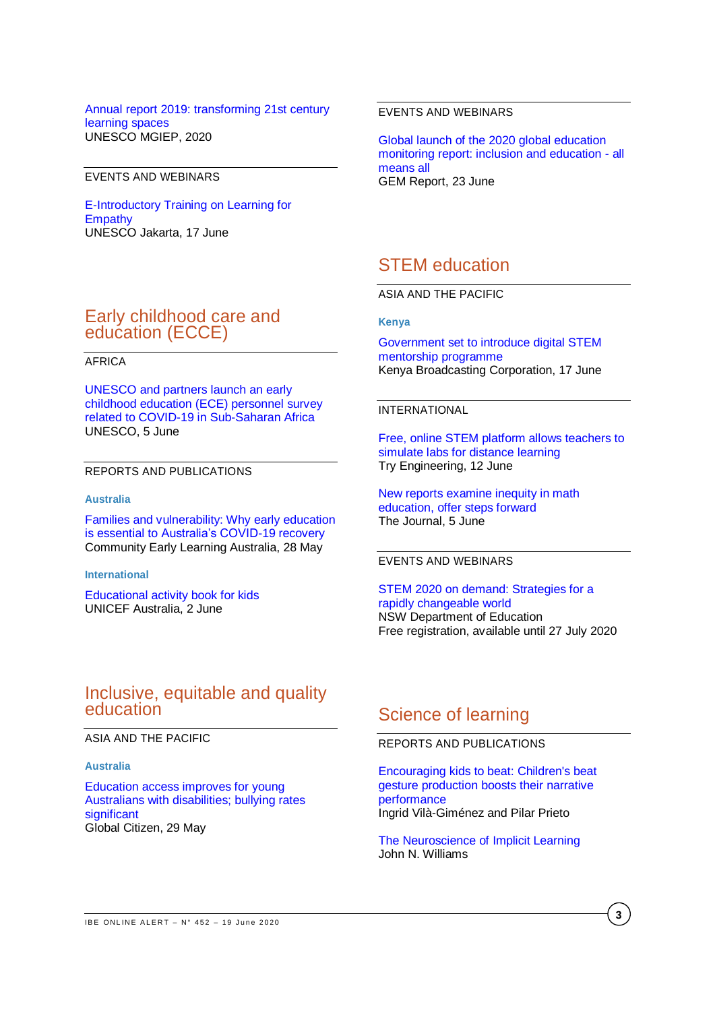## [Annual report 2019: transforming 21st century](https://unesdoc.unesco.org/ark:/48223/pf0000373565?posInSet=57&queryId=N-c04204de-f899-4c0c-9eb7-4ee2c0645e42)  [learning spaces](https://unesdoc.unesco.org/ark:/48223/pf0000373565?posInSet=57&queryId=N-c04204de-f899-4c0c-9eb7-4ee2c0645e42) UNESCO MGIEP, 2020

## EVENTS AND WEBINARS

[E-Introductory Training on Learning for](https://en.unesco.org/news/e-introductory-training-learning-empathy)  **[Empathy](https://en.unesco.org/news/e-introductory-training-learning-empathy)** UNESCO Jakarta, 17 June

# Early childhood care and education (ECCE)

## AFRICA

[UNESCO and partners launch an early](https://en.unesco.org/news/unesco-and-partners-launch-early-childhood-education-ece-personnel-survey-related-covid-19-sub)  [childhood education \(ECE\) personnel survey](https://en.unesco.org/news/unesco-and-partners-launch-early-childhood-education-ece-personnel-survey-related-covid-19-sub)  [related to COVID-19 in Sub-Saharan Africa](https://en.unesco.org/news/unesco-and-partners-launch-early-childhood-education-ece-personnel-survey-related-covid-19-sub) UNESCO, 5 June

## REPORTS AND PUBLICATIONS

#### **Australia**

[Families and vulnerability: Why early education](https://www.cela.org.au/wp-content/uploads/2020/05/CELA-report-28-May-Families-and-vulnerability-1.pdf)  [is essential to Australia's COVID-19 recovery](https://www.cela.org.au/wp-content/uploads/2020/05/CELA-report-28-May-Families-and-vulnerability-1.pdf) Community Early Learning Australia, 28 May

#### **International**

[Educational activity book for kids](https://www.unicef.org.au/blog/resources/june-2020/educational-activity-book-for-kids) UNICEF Australia, 2 June

## EVENTS AND WEBINARS

[Global launch of the 2020 global education](https://en.unesco.org/gem-report/events/2020/global-launch-2020-global-education-monitoring-report-inclusion-and-education-all-means) [monitoring report: inclusion and education -](https://en.unesco.org/gem-report/events/2020/global-launch-2020-global-education-monitoring-report-inclusion-and-education-all-means) all [means all](https://en.unesco.org/gem-report/events/2020/global-launch-2020-global-education-monitoring-report-inclusion-and-education-all-means) GEM Report, 23 June

# STEM education

ASIA AND THE PACIFIC

**Kenya**

[Government set to introduce digital](https://www.kbc.co.ke/govt-set-to-introduce-digital-stem-mentorship-programme/) STEM [mentorship programme](https://www.kbc.co.ke/govt-set-to-introduce-digital-stem-mentorship-programme/) Kenya Broadcasting Corporation, 17 June

## INTERNATIONAL

[Free, online STEM platform allows teachers to](https://tryengineering.org/news/free-online-stem-platform-allows-teachers-to-simulate-labs-for-distance-learning/?utm_source=tryen_fb&utm_medium=post&utm_campaign=20200611)  [simulate labs for distance learning](https://tryengineering.org/news/free-online-stem-platform-allows-teachers-to-simulate-labs-for-distance-learning/?utm_source=tryen_fb&utm_medium=post&utm_campaign=20200611) Try Engineering, 12 June

[New reports examine inequity in math](https://thejournal.com/articles/2020/06/05/new-reports-examine-inequity-in-math-ed-offer-steps-forward.aspx?admgarea=News1)  [education, offer steps forward](https://thejournal.com/articles/2020/06/05/new-reports-examine-inequity-in-math-ed-offer-steps-forward.aspx?admgarea=News1) The Journal, 5 June

### EVENTS AND WEBINARS

[STEM 2020 on demand: Strategies for a](https://stem2020.com.au/about/)  [rapidly changeable world](https://stem2020.com.au/about/) NSW Department of Education Free registration, available until 27 July 2020

## Inclusive, equitable and quality education

ASIA AND THE PACIFIC

#### **Australia**

[Education access improves for young](https://www.globalcitizen.org/en/content/education-bullying-young-australians-disability/)  [Australians with disabilities; bullying rates](https://www.globalcitizen.org/en/content/education-bullying-young-australians-disability/)  **[significant](https://www.globalcitizen.org/en/content/education-bullying-young-australians-disability/)** Global Citizen, 29 May

# Science of learning

## REPORTS AND PUBLICATIONS

[Encouraging kids to beat: Children's beat](https://onlinelibrary.wiley.com/doi/abs/10.1111/desc.12967)  [gesture production boosts their narrative](https://onlinelibrary.wiley.com/doi/abs/10.1111/desc.12967)  [performance](https://onlinelibrary.wiley.com/doi/abs/10.1111/desc.12967) Ingrid Vilà-Giménez and Pilar Prieto

[The Neuroscience of Implicit Learning](https://onlinelibrary.wiley.com/doi/10.1111/lang.12405) John N. Williams

**3**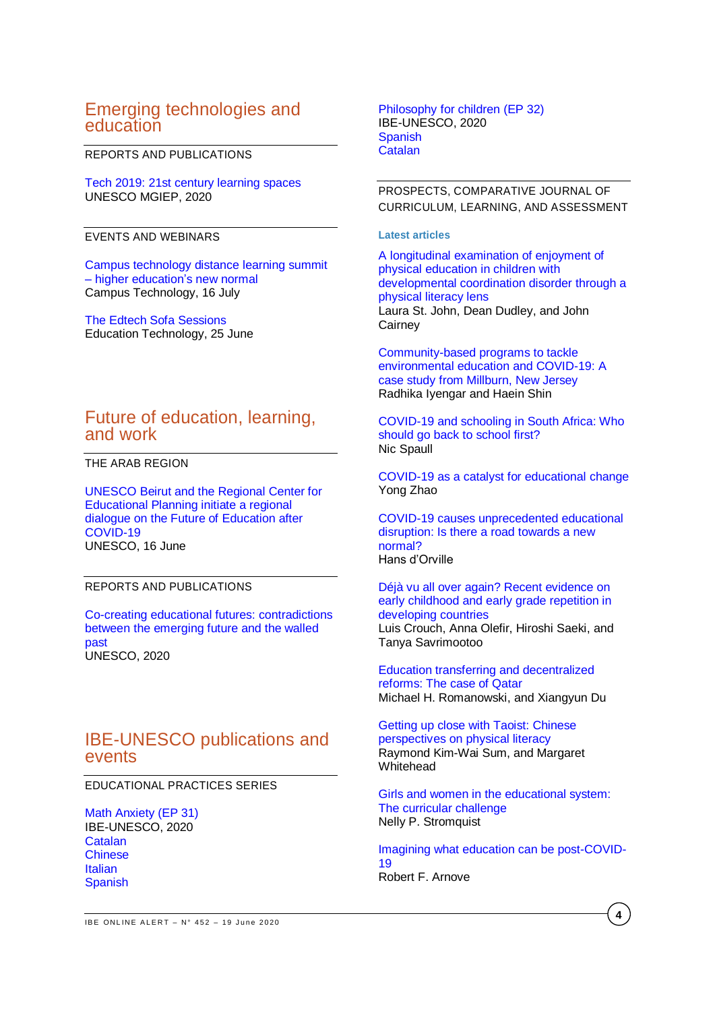# Emerging technologies and education

## REPORTS AND PUBLICATIONS

[Tech 2019: 21st century learning spaces](https://unesdoc.unesco.org/ark:/48223/pf0000373608?posInSet=11&queryId=N-c04204de-f899-4c0c-9eb7-4ee2c0645e42) UNESCO MGIEP, 2020

## EVENTS AND WEBINARS

[Campus technology distance learning summit](https://campustechnology.com/events/distance-learning-summit/higherednewnormal/home.aspx)  – [higher education's new normal](https://campustechnology.com/events/distance-learning-summit/higherednewnormal/home.aspx) Campus Technology, 16 July

[The Edtech Sofa Sessions](https://edtechnology.co.uk/2020event/) Education Technology, 25 June

## Future of education, learning, and work

THE ARAB REGION

[UNESCO Beirut and the Regional Center for](https://en.unesco.org/news/unesco-beirut-and-regional-center-educational-planning-initiate-regional-dialogue-future)  [Educational Planning initiate a regional](https://en.unesco.org/news/unesco-beirut-and-regional-center-educational-planning-initiate-regional-dialogue-future)  [dialogue on the Future of Education after](https://en.unesco.org/news/unesco-beirut-and-regional-center-educational-planning-initiate-regional-dialogue-future)  [COVID-19](https://en.unesco.org/news/unesco-beirut-and-regional-center-educational-planning-initiate-regional-dialogue-future) UNESCO, 16 June

## REPORTS AND PUBLICATIONS

[Co-creating educational futures: contradictions](https://unesdoc.unesco.org/ark:/48223/pf0000373581?posInSet=40&queryId=N-c04204de-f899-4c0c-9eb7-4ee2c0645e)  [between the emerging future and the walled](https://unesdoc.unesco.org/ark:/48223/pf0000373581?posInSet=40&queryId=N-c04204de-f899-4c0c-9eb7-4ee2c0645e)  [past](https://unesdoc.unesco.org/ark:/48223/pf0000373581?posInSet=40&queryId=N-c04204de-f899-4c0c-9eb7-4ee2c0645e) UNESCO, 2020

## IBE-UNESCO publications and events

EDUCATIONAL PRACTICES SERIES

[Math Anxiety \(EP 31\)](https://unesdoc.unesco.org/ark:/48223/pf0000373402) IBE-UNESCO, 2020 **[Catalan](https://unesdoc.unesco.org/ark:/48223/pf0000373402_cat?posInSet=7&queryId=N-EXPLORE-099d9228-11f7-4193-9dc1-b7dc051d4447) [Chinese](https://unesdoc.unesco.org/ark:/48223/pf0000373402_chi?posInSet=6&queryId=N-EXPLORE-099d9228-11f7-4193-9dc1-b7dc051d4447) [Italian](https://unesdoc.unesco.org/ark:/48223/pf0000373402_ita?posInSet=5&queryId=N-EXPLORE-099d9228-11f7-4193-9dc1-b7dc051d4447) [Spanish](https://unesdoc.unesco.org/ark:/48223/pf0000373402_spa)** 

[Philosophy for children](https://unesdoc.unesco.org/ark:/48223/pf0000373403?posInSet=3&queryId=N-8c3019ed-cae6-4131-a11b-9048bd3c7d74) (EP 32) IBE-UNESCO, 2020 [Spanish](https://unesdoc.unesco.org/ark:/48223/pf0000373403_spa) **[Catalan](https://unesdoc.unesco.org/ark:/48223/pf0000373403_cat)** 

PROSPECTS, COMPARATIVE JOURNAL OF CURRICULUM, LEARNING, AND ASSESSMENT

#### **Latest articles**

[A longitudinal examination of enjoyment of](https://link.springer.com/article/10.1007/s11125-020-09469-y)  [physical education in children with](https://link.springer.com/article/10.1007/s11125-020-09469-y)  [developmental coordination disorder through a](https://link.springer.com/article/10.1007/s11125-020-09469-y)  [physical literacy lens](https://link.springer.com/article/10.1007/s11125-020-09469-y) Laura St. John, Dean Dudley, and John **Cairnev** 

[Community-based programs to tackle](https://link.springer.com/article/10.1007/s11125-020-09467-0)  [environmental education and COVID-19: A](https://link.springer.com/article/10.1007/s11125-020-09467-0)  [case study from Millburn, New Jersey](https://link.springer.com/article/10.1007/s11125-020-09467-0) Radhika Iyengar and Haein Shin

[COVID-19 and schooling in South Africa: Who](https://link.springer.com/article/10.1007/s11125-020-09470-5)  [should go back to school first?](https://link.springer.com/article/10.1007/s11125-020-09470-5) Nic Spaull

[COVID-19 as a catalyst for educational change](https://link.springer.com/article/10.1007/s11125-020-09477-y) Yong Zhao

[COVID-19 causes unprecedented educational](https://link.springer.com/article/10.1007/s11125-020-09475-0)  [disruption: Is there a road towards a new](https://link.springer.com/article/10.1007/s11125-020-09475-0)  [normal?](https://link.springer.com/article/10.1007/s11125-020-09475-0) Hans d'Orville

[Déjà vu all over again? Recent evidence on](https://link.springer.com/article/10.1007/s11125-020-09473-2)  [early childhood and early grade repetition in](https://link.springer.com/article/10.1007/s11125-020-09473-2)  [developing countries](https://link.springer.com/article/10.1007/s11125-020-09473-2) Luis Crouch, Anna Olefir, Hiroshi Saeki, and Tanya Savrimootoo

[Education transferring and decentralized](https://link.springer.com/article/10.1007/s11125-020-09478-x)  [reforms: The case of Qatar](https://link.springer.com/article/10.1007/s11125-020-09478-x) Michael H. Romanowski, and Xiangyun Du

[Getting up close with Taoist: Chinese](https://link.springer.com/article/10.1007/s11125-020-09479-w)  [perspectives on physical literacy](https://link.springer.com/article/10.1007/s11125-020-09479-w) Raymond Kim-Wai Sum, and Margaret **Whitehead** 

[Girls and women in the educational system:](https://link.springer.com/article/10.1007/s11125-020-09482-1)  [The curricular challenge](https://link.springer.com/article/10.1007/s11125-020-09482-1) Nelly P. Stromquist

[Imagining what education can be post-COVID-](https://link.springer.com/article/10.1007/s11125-020-09474-1#author-information)[19](https://link.springer.com/article/10.1007/s11125-020-09474-1#author-information) Robert F. Arnove